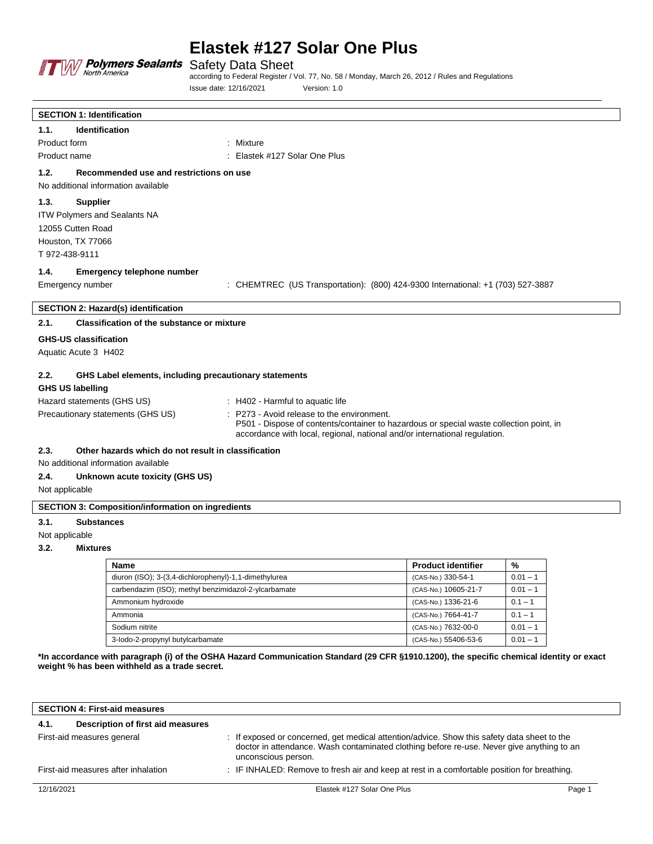

Safety Data Sheet according to Federal Register / Vol. 77, No. 58 / Monday, March 26, 2012 / Rules and Regulations Issue date: 12/16/2021 Version: 1.0

|                                                          | <b>SECTION 1: Identification</b>                       |                                                                                                                                                                                                                   |  |
|----------------------------------------------------------|--------------------------------------------------------|-------------------------------------------------------------------------------------------------------------------------------------------------------------------------------------------------------------------|--|
| 1.1.                                                     | <b>Identification</b>                                  |                                                                                                                                                                                                                   |  |
| Product form                                             |                                                        | : Mixture                                                                                                                                                                                                         |  |
| Product name                                             |                                                        | : Elastek #127 Solar One Plus                                                                                                                                                                                     |  |
| 1.2.                                                     | Recommended use and restrictions on use                |                                                                                                                                                                                                                   |  |
|                                                          | No additional information available                    |                                                                                                                                                                                                                   |  |
| 1.3.                                                     | <b>Supplier</b>                                        |                                                                                                                                                                                                                   |  |
|                                                          | ITW Polymers and Sealants NA                           |                                                                                                                                                                                                                   |  |
|                                                          | 12055 Cutten Road                                      |                                                                                                                                                                                                                   |  |
|                                                          | Houston, TX 77066                                      |                                                                                                                                                                                                                   |  |
|                                                          | T 972-438-9111                                         |                                                                                                                                                                                                                   |  |
| 1.4.                                                     | <b>Emergency telephone number</b>                      |                                                                                                                                                                                                                   |  |
|                                                          | Emergency number                                       | : CHEMTREC (US Transportation): (800) 424-9300 International: +1 (703) 527-3887                                                                                                                                   |  |
|                                                          |                                                        |                                                                                                                                                                                                                   |  |
|                                                          | SECTION 2: Hazard(s) identification                    |                                                                                                                                                                                                                   |  |
| 2.1.                                                     | <b>Classification of the substance or mixture</b>      |                                                                                                                                                                                                                   |  |
|                                                          | <b>GHS-US classification</b>                           |                                                                                                                                                                                                                   |  |
|                                                          | Aquatic Acute 3 H402                                   |                                                                                                                                                                                                                   |  |
|                                                          |                                                        |                                                                                                                                                                                                                   |  |
| 2.2.                                                     | GHS Label elements, including precautionary statements |                                                                                                                                                                                                                   |  |
|                                                          | <b>GHS US labelling</b>                                |                                                                                                                                                                                                                   |  |
|                                                          | Hazard statements (GHS US)                             | : H402 - Harmful to aquatic life                                                                                                                                                                                  |  |
|                                                          | Precautionary statements (GHS US)                      | P273 - Avoid release to the environment.<br>P501 - Dispose of contents/container to hazardous or special waste collection point, in<br>accordance with local, regional, national and/or international regulation. |  |
| 2.3.                                                     | Other hazards which do not result in classification    |                                                                                                                                                                                                                   |  |
|                                                          | No additional information available                    |                                                                                                                                                                                                                   |  |
| 2.4.                                                     | Unknown acute toxicity (GHS US)                        |                                                                                                                                                                                                                   |  |
| Not applicable                                           |                                                        |                                                                                                                                                                                                                   |  |
| <b>SECTION 3: Composition/information on ingredients</b> |                                                        |                                                                                                                                                                                                                   |  |
| 3.1.                                                     | <b>Substances</b>                                      |                                                                                                                                                                                                                   |  |
| Not applicable                                           |                                                        |                                                                                                                                                                                                                   |  |
| 3.2.                                                     | <b>Mixtures</b>                                        |                                                                                                                                                                                                                   |  |

#### **3.2. Mixtures**

| <b>Name</b>                                           | <b>Product identifier</b> | %          |
|-------------------------------------------------------|---------------------------|------------|
| diuron (ISO); 3-(3,4-dichlorophenyl)-1,1-dimethylurea | (CAS-No.) 330-54-1        | $0.01 - 1$ |
| carbendazim (ISO); methyl benzimidazol-2-ylcarbamate  | (CAS-No.) 10605-21-7      | $0.01 - 1$ |
| Ammonium hydroxide                                    | (CAS-No.) 1336-21-6       | $0.1 - 1$  |
| Ammonia                                               | (CAS-No.) 7664-41-7       | $0.1 - 1$  |
| Sodium nitrite                                        | (CAS-No.) 7632-00-0       | $0.01 - 1$ |
| 3-lodo-2-propynyl butylcarbamate                      | (CAS-No.) 55406-53-6      | $0.01 - 1$ |

**\*In accordance with paragraph (i) of the OSHA Hazard Communication Standard (29 CFR §1910.1200), the specific chemical identity or exact weight % has been withheld as a trade secret.**

| <b>SECTION 4: First-aid measures</b> |                                   |                                                                                                                                                                                                                 |        |  |
|--------------------------------------|-----------------------------------|-----------------------------------------------------------------------------------------------------------------------------------------------------------------------------------------------------------------|--------|--|
| 4.1.                                 | Description of first aid measures |                                                                                                                                                                                                                 |        |  |
| First-aid measures general           |                                   | : If exposed or concerned, get medical attention/advice. Show this safety data sheet to the<br>doctor in attendance. Wash contaminated clothing before re-use. Never give anything to an<br>unconscious person. |        |  |
| First-aid measures after inhalation  |                                   | : IF INHALED: Remove to fresh air and keep at rest in a comfortable position for breathing.                                                                                                                     |        |  |
| 12/16/2021                           |                                   | Elastek #127 Solar One Plus                                                                                                                                                                                     | Page 1 |  |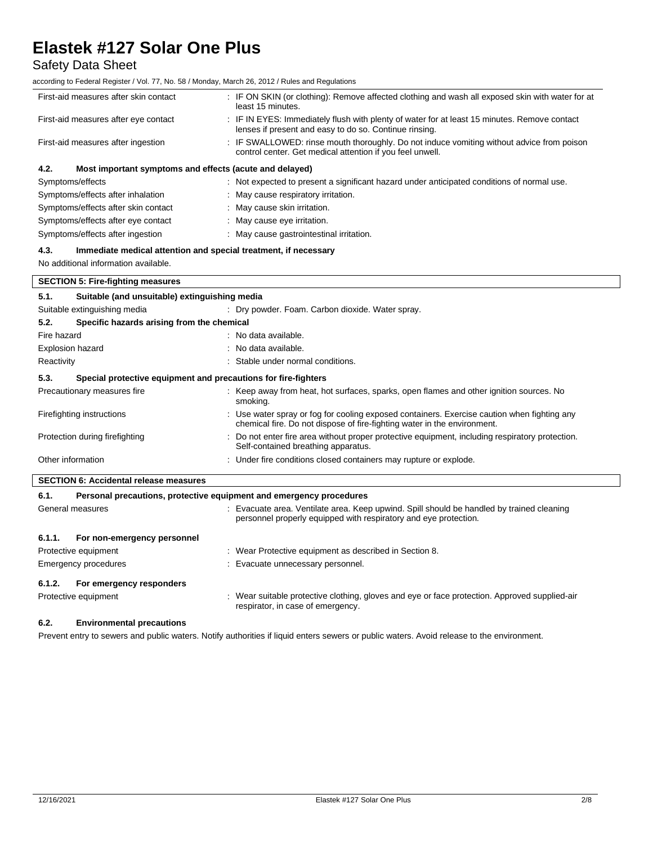Safety Data Sheet

according to Federal Register / Vol. 77, No. 58 / Monday, March 26, 2012 / Rules and Regulations

| First-aid measures after skin contact                           | : IF ON SKIN (or clothing): Remove affected clothing and wash all exposed skin with water for at<br>least 15 minutes.                                  |  |  |  |
|-----------------------------------------------------------------|--------------------------------------------------------------------------------------------------------------------------------------------------------|--|--|--|
| First-aid measures after eye contact                            | : IF IN EYES: Immediately flush with plenty of water for at least 15 minutes. Remove contact<br>lenses if present and easy to do so. Continue rinsing. |  |  |  |
| First-aid measures after ingestion                              | : IF SWALLOWED: rinse mouth thoroughly. Do not induce vomiting without advice from poison<br>control center. Get medical attention if you feel unwell. |  |  |  |
| 4.2.<br>Most important symptoms and effects (acute and delayed) |                                                                                                                                                        |  |  |  |
| Symptoms/effects                                                | : Not expected to present a significant hazard under anticipated conditions of normal use.                                                             |  |  |  |
| Symptoms/effects after inhalation                               | : May cause respiratory irritation.                                                                                                                    |  |  |  |
| Symptoms/effects after skin contact                             | : May cause skin irritation.                                                                                                                           |  |  |  |
| Symptoms/effects after eye contact                              | : May cause eye irritation.                                                                                                                            |  |  |  |
| Symptoms/effects after ingestion                                | : May cause gastrointestinal irritation.                                                                                                               |  |  |  |

### **4.3. Immediate medical attention and special treatment, if necessary**

No additional information available.

| <b>SECTION 5: Fire-fighting measures</b> |                                                                     |                                                                                                                                                                         |  |  |
|------------------------------------------|---------------------------------------------------------------------|-------------------------------------------------------------------------------------------------------------------------------------------------------------------------|--|--|
| 5.1.                                     | Suitable (and unsuitable) extinguishing media                       |                                                                                                                                                                         |  |  |
|                                          | Suitable extinguishing media                                        | : Dry powder. Foam. Carbon dioxide. Water spray.                                                                                                                        |  |  |
| 5.2.                                     | Specific hazards arising from the chemical                          |                                                                                                                                                                         |  |  |
| Fire hazard                              |                                                                     | : No data available.                                                                                                                                                    |  |  |
| Explosion hazard                         |                                                                     | : No data available.                                                                                                                                                    |  |  |
| Reactivity                               |                                                                     | : Stable under normal conditions.                                                                                                                                       |  |  |
| 5.3.                                     | Special protective equipment and precautions for fire-fighters      |                                                                                                                                                                         |  |  |
| Precautionary measures fire              |                                                                     | : Keep away from heat, hot surfaces, sparks, open flames and other ignition sources. No<br>smoking.                                                                     |  |  |
| Firefighting instructions                |                                                                     | : Use water spray or fog for cooling exposed containers. Exercise caution when fighting any<br>chemical fire. Do not dispose of fire-fighting water in the environment. |  |  |
| Protection during firefighting           |                                                                     | : Do not enter fire area without proper protective equipment, including respiratory protection.<br>Self-contained breathing apparatus.                                  |  |  |
| Other information                        |                                                                     | : Under fire conditions closed containers may rupture or explode.                                                                                                       |  |  |
|                                          | <b>SECTION 6: Accidental release measures</b>                       |                                                                                                                                                                         |  |  |
| 6.1.                                     | Personal precautions, protective equipment and emergency procedures |                                                                                                                                                                         |  |  |
|                                          | General measures                                                    | : Evacuate area. Ventilate area. Keep upwind. Spill should be handled by trained cleaning<br>personnel properly equipped with respiratory and eye protection.           |  |  |
| 6.1.1.                                   | For non-emergency personnel                                         |                                                                                                                                                                         |  |  |

| Protective equipment               | : Wear Protective equipment as described in Section 8.                                                                             |  |  |
|------------------------------------|------------------------------------------------------------------------------------------------------------------------------------|--|--|
| Emergency procedures               | : Evacuate unnecessary personnel.                                                                                                  |  |  |
| For emergency responders<br>6.1.2. |                                                                                                                                    |  |  |
| Protective equipment               | : Wear suitable protective clothing, gloves and eye or face protection. Approved supplied-air<br>respirator, in case of emergency. |  |  |

# **6.2. Environmental precautions**

Prevent entry to sewers and public waters. Notify authorities if liquid enters sewers or public waters. Avoid release to the environment.

 $\overline{\phantom{a}}$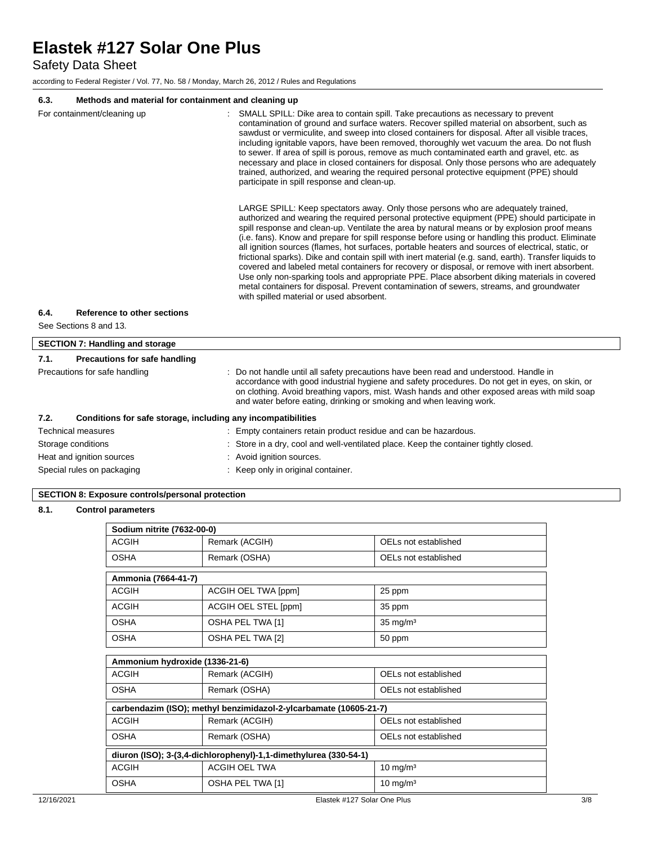Safety Data Sheet

according to Federal Register / Vol. 77, No. 58 / Monday, March 26, 2012 / Rules and Regulations

# **6.3. Methods and material for containment and cleaning up**

| υ.υ.                        | <b>Metricus and material for containment and cleaning up</b> |                                                                                                                                                                                                                                                                                                                                                                                                                                                                                                                                                                                                                                                                                                                                                                                                                                                                                                                                                                                                                                                                                                                                                                                                                                                                                                                                                                                                                                                                                                                                                                                                                                                                                   |  |  |
|-----------------------------|--------------------------------------------------------------|-----------------------------------------------------------------------------------------------------------------------------------------------------------------------------------------------------------------------------------------------------------------------------------------------------------------------------------------------------------------------------------------------------------------------------------------------------------------------------------------------------------------------------------------------------------------------------------------------------------------------------------------------------------------------------------------------------------------------------------------------------------------------------------------------------------------------------------------------------------------------------------------------------------------------------------------------------------------------------------------------------------------------------------------------------------------------------------------------------------------------------------------------------------------------------------------------------------------------------------------------------------------------------------------------------------------------------------------------------------------------------------------------------------------------------------------------------------------------------------------------------------------------------------------------------------------------------------------------------------------------------------------------------------------------------------|--|--|
| For containment/cleaning up |                                                              | SMALL SPILL: Dike area to contain spill. Take precautions as necessary to prevent<br>contamination of ground and surface waters. Recover spilled material on absorbent, such as<br>sawdust or vermiculite, and sweep into closed containers for disposal. After all visible traces,<br>including ignitable vapors, have been removed, thoroughly wet vacuum the area. Do not flush<br>to sewer. If area of spill is porous, remove as much contaminated earth and gravel, etc. as<br>necessary and place in closed containers for disposal. Only those persons who are adequately<br>trained, authorized, and wearing the required personal protective equipment (PPE) should<br>participate in spill response and clean-up.<br>LARGE SPILL: Keep spectators away. Only those persons who are adequately trained,<br>authorized and wearing the required personal protective equipment (PPE) should participate in<br>spill response and clean-up. Ventilate the area by natural means or by explosion proof means<br>(i.e. fans). Know and prepare for spill response before using or handling this product. Eliminate<br>all ignition sources (flames, hot surfaces, portable heaters and sources of electrical, static, or<br>frictional sparks). Dike and contain spill with inert material (e.g. sand, earth). Transfer liquids to<br>covered and labeled metal containers for recovery or disposal, or remove with inert absorbent.<br>Use only non-sparking tools and appropriate PPE. Place absorbent diking materials in covered<br>metal containers for disposal. Prevent contamination of sewers, streams, and groundwater<br>with spilled material or used absorbent. |  |  |
| 6.4.                        | Reference to other sections                                  |                                                                                                                                                                                                                                                                                                                                                                                                                                                                                                                                                                                                                                                                                                                                                                                                                                                                                                                                                                                                                                                                                                                                                                                                                                                                                                                                                                                                                                                                                                                                                                                                                                                                                   |  |  |
|                             | See Sections 8 and 13.                                       |                                                                                                                                                                                                                                                                                                                                                                                                                                                                                                                                                                                                                                                                                                                                                                                                                                                                                                                                                                                                                                                                                                                                                                                                                                                                                                                                                                                                                                                                                                                                                                                                                                                                                   |  |  |
|                             | <b>SECTION 7: Handling and storage</b>                       |                                                                                                                                                                                                                                                                                                                                                                                                                                                                                                                                                                                                                                                                                                                                                                                                                                                                                                                                                                                                                                                                                                                                                                                                                                                                                                                                                                                                                                                                                                                                                                                                                                                                                   |  |  |
| 7.1.                        | <b>Precautions for safe handling</b>                         |                                                                                                                                                                                                                                                                                                                                                                                                                                                                                                                                                                                                                                                                                                                                                                                                                                                                                                                                                                                                                                                                                                                                                                                                                                                                                                                                                                                                                                                                                                                                                                                                                                                                                   |  |  |
|                             | Precautions for safe handling                                | Do not handle until all safety precautions have been read and understood. Handle in<br>accordance with good industrial hygiene and safety procedures. Do not get in eyes, on skin, or<br>on clothing. Avoid breathing vapors, mist. Wash hands and other exposed areas with mild soap<br>and water before eating, drinking or smoking and when leaving work.                                                                                                                                                                                                                                                                                                                                                                                                                                                                                                                                                                                                                                                                                                                                                                                                                                                                                                                                                                                                                                                                                                                                                                                                                                                                                                                      |  |  |
| 7.2.                        | Conditions for safe storage, including any incompatibilities |                                                                                                                                                                                                                                                                                                                                                                                                                                                                                                                                                                                                                                                                                                                                                                                                                                                                                                                                                                                                                                                                                                                                                                                                                                                                                                                                                                                                                                                                                                                                                                                                                                                                                   |  |  |
|                             | <b>Technical measures</b>                                    | Empty containers retain product residue and can be hazardous.                                                                                                                                                                                                                                                                                                                                                                                                                                                                                                                                                                                                                                                                                                                                                                                                                                                                                                                                                                                                                                                                                                                                                                                                                                                                                                                                                                                                                                                                                                                                                                                                                     |  |  |
| Storage conditions          |                                                              | : Store in a dry, cool and well-ventilated place. Keep the container tightly closed.                                                                                                                                                                                                                                                                                                                                                                                                                                                                                                                                                                                                                                                                                                                                                                                                                                                                                                                                                                                                                                                                                                                                                                                                                                                                                                                                                                                                                                                                                                                                                                                              |  |  |
| Heat and janition sources   |                                                              | : Avoid ianition sources.                                                                                                                                                                                                                                                                                                                                                                                                                                                                                                                                                                                                                                                                                                                                                                                                                                                                                                                                                                                                                                                                                                                                                                                                                                                                                                                                                                                                                                                                                                                                                                                                                                                         |  |  |

Special rules on packaging **interpretate and the Special rules** on packaging in original container.

# **SECTION 8: Exposure controls/personal protection**

### **8.1. Control parameters**

# **Sodium nitrite (7632-00-0)**

| 00anam mano ny toez-00-07                                        |                                                                   |                      |  |  |
|------------------------------------------------------------------|-------------------------------------------------------------------|----------------------|--|--|
| <b>ACGIH</b>                                                     | Remark (ACGIH)                                                    | OELs not established |  |  |
| <b>OSHA</b>                                                      | Remark (OSHA)                                                     | OELs not established |  |  |
|                                                                  |                                                                   |                      |  |  |
| Ammonia (7664-41-7)                                              |                                                                   |                      |  |  |
| <b>ACGIH</b>                                                     | ACGIH OEL TWA [ppm]                                               | 25 ppm               |  |  |
| <b>ACGIH</b>                                                     | ACGIH OEL STEL [ppm]                                              | 35 ppm               |  |  |
| <b>OSHA</b>                                                      | OSHA PEL TWA [1]                                                  | $35 \text{ mg/m}^3$  |  |  |
| <b>OSHA</b><br>OSHA PEL TWA [2]<br>50 ppm                        |                                                                   |                      |  |  |
|                                                                  |                                                                   |                      |  |  |
| Ammonium hydroxide (1336-21-6)                                   |                                                                   |                      |  |  |
| <b>ACGIH</b>                                                     | Remark (ACGIH)                                                    | OELs not established |  |  |
| <b>OSHA</b><br>Remark (OSHA)<br>OELs not established             |                                                                   |                      |  |  |
|                                                                  | carbendazim (ISO); methyl benzimidazol-2-ylcarbamate (10605-21-7) |                      |  |  |
| <b>ACGIH</b>                                                     | Remark (ACGIH)                                                    | OELs not established |  |  |
| <b>OSHA</b><br>Remark (OSHA)<br>OELs not established             |                                                                   |                      |  |  |
| diuron (ISO); 3-(3,4-dichlorophenyl)-1,1-dimethylurea (330-54-1) |                                                                   |                      |  |  |
| <b>ACGIH</b>                                                     | <b>ACGIH OEL TWA</b>                                              | $10 \text{ mg/m}^3$  |  |  |
| <b>OSHA</b>                                                      | OSHA PEL TWA [1]                                                  | $10 \text{ mg/m}^3$  |  |  |

٦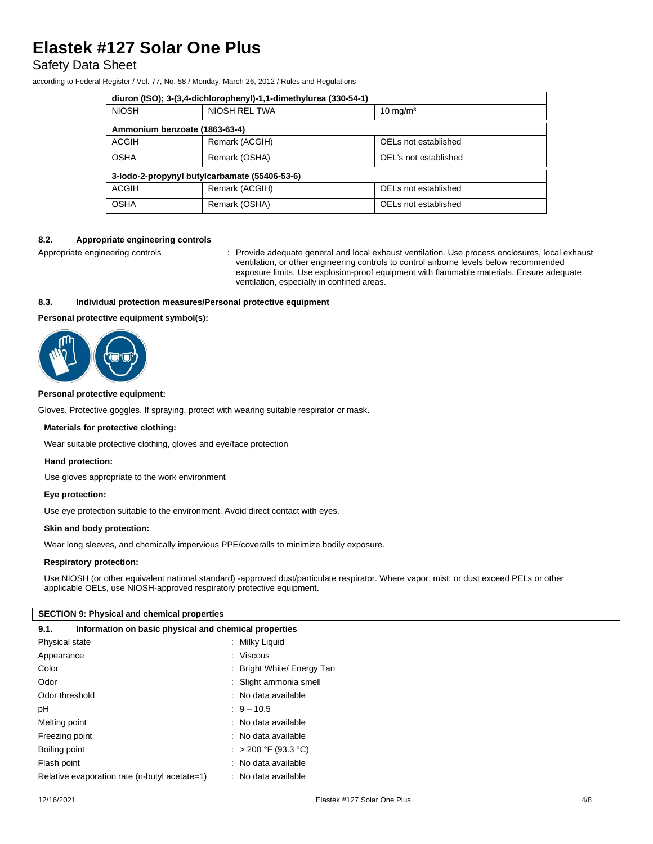# Safety Data Sheet

according to Federal Register / Vol. 77, No. 58 / Monday, March 26, 2012 / Rules and Regulations

|                                               | diuron (ISO); 3-(3,4-dichlorophenyl)-1,1-dimethylurea (330-54-1) |                       |
|-----------------------------------------------|------------------------------------------------------------------|-----------------------|
| <b>NIOSH</b>                                  | NIOSH REL TWA                                                    | $10 \text{ mg/m}^3$   |
| Ammonium benzoate (1863-63-4)                 |                                                                  |                       |
| ACGIH                                         | Remark (ACGIH)                                                   | OELs not established  |
| <b>OSHA</b>                                   | Remark (OSHA)                                                    | OEL's not established |
| 3-lodo-2-propynyl butylcarbamate (55406-53-6) |                                                                  |                       |
| ACGIH                                         | Remark (ACGIH)                                                   | OELs not established  |
| <b>OSHA</b>                                   | Remark (OSHA)                                                    | OELs not established  |

#### **8.2. Appropriate engineering controls**

Appropriate engineering controls : Provide adequate general and local exhaust ventilation. Use process enclosures, local exhaust ventilation, or other engineering controls to control airborne levels below recommended exposure limits. Use explosion-proof equipment with flammable materials. Ensure adequate ventilation, especially in confined areas.

### **8.3. Individual protection measures/Personal protective equipment**

### **Personal protective equipment symbol(s):**



#### **Personal protective equipment:**

Gloves. Protective goggles. If spraying, protect with wearing suitable respirator or mask.

#### **Materials for protective clothing:**

Wear suitable protective clothing, gloves and eye/face protection

#### **Hand protection:**

Use gloves appropriate to the work environment

#### **Eye protection:**

Use eye protection suitable to the environment. Avoid direct contact with eyes.

#### **Skin and body protection:**

Wear long sleeves, and chemically impervious PPE/coveralls to minimize bodily exposure.

#### **Respiratory protection:**

Use NIOSH (or other equivalent national standard) -approved dust/particulate respirator. Where vapor, mist, or dust exceed PELs or other applicable OELs, use NIOSH-approved respiratory protective equipment.

#### **SECTION 9: Physical and chemical properties**

| Information on basic physical and chemical properties<br>9.1. |                            |  |  |  |
|---------------------------------------------------------------|----------------------------|--|--|--|
| Physical state                                                | : Milky Liquid             |  |  |  |
| Appearance                                                    | $:$ Viscous                |  |  |  |
| Color                                                         | : Bright White/ Energy Tan |  |  |  |
| Odor                                                          | : Slight ammonia smell     |  |  |  |
| Odor threshold                                                | : No data available        |  |  |  |
| pH                                                            | $9 - 10.5$                 |  |  |  |
| Melting point                                                 | : No data available        |  |  |  |
| Freezing point                                                | : No data available        |  |  |  |
| Boiling point                                                 | : > 200 °F (93.3 °C)       |  |  |  |
| Flash point                                                   | : No data available        |  |  |  |
| Relative evaporation rate (n-butyl acetate=1)                 | : No data available        |  |  |  |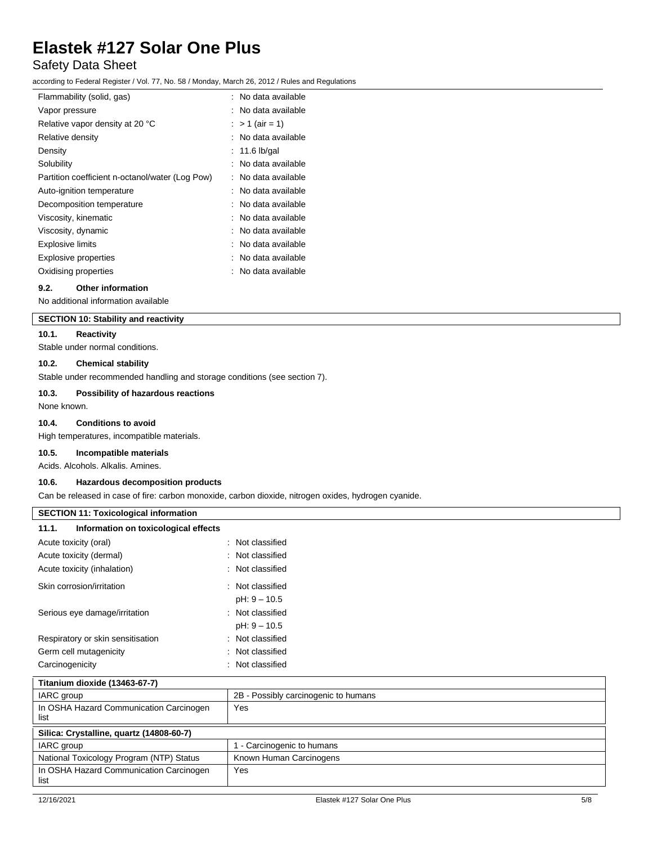# Safety Data Sheet

according to Federal Register / Vol. 77, No. 58 / Monday, March 26, 2012 / Rules and Regulations

| Flammability (solid, gas)                       | : No data available |
|-------------------------------------------------|---------------------|
| Vapor pressure                                  | : No data available |
| Relative vapor density at 20 °C                 | : > 1 (air = 1)     |
| Relative density                                | : No data available |
| Density                                         | $: 11.6$ lb/gal     |
| Solubility                                      | : No data available |
| Partition coefficient n-octanol/water (Log Pow) | : No data available |
| Auto-ignition temperature                       | : No data available |
| Decomposition temperature                       | : No data available |
| Viscosity, kinematic                            | : No data available |
| Viscosity, dynamic                              | : No data available |
| <b>Explosive limits</b>                         | : No data available |
| <b>Explosive properties</b>                     | : No data available |
| Oxidising properties                            | : No data available |

# **9.2. Other information**

No additional information available

# **SECTION 10: Stability and reactivity**

### **10.1. Reactivity**

Stable under normal conditions.

### **10.2. Chemical stability**

Stable under recommended handling and storage conditions (see section 7).

#### **10.3. Possibility of hazardous reactions**

None known.

# **10.4. Conditions to avoid**

High temperatures, incompatible materials.

**10.5. Incompatible materials**

Acids. Alcohols. Alkalis. Amines.

# **10.6. Hazardous decomposition products**

Can be released in case of fire: carbon monoxide, carbon dioxide, nitrogen oxides, hydrogen cyanide.

#### **SECTION 11: Toxicological information**

| 11.1.<br>Information on toxicological effects |                             |
|-----------------------------------------------|-----------------------------|
| Acute toxicity (oral)                         | Not classified              |
| Acute toxicity (dermal)                       | $\therefore$ Not classified |
| Acute toxicity (inhalation)                   | $\therefore$ Not classified |
| Skin corrosion/irritation                     | : Not classified            |
|                                               | pH: 9 - 10.5                |
| Serious eye damage/irritation                 | $\therefore$ Not classified |
|                                               | pH: 9 - 10.5                |
| Respiratory or skin sensitisation             | Not classified              |
| Germ cell mutagenicity                        | $\therefore$ Not classified |
| Carcinogenicity                               | Not classified              |

| Titanium dioxide (13463-67-7)                   |                                      |
|-------------------------------------------------|--------------------------------------|
| IARC group                                      | 2B - Possibly carcinogenic to humans |
| In OSHA Hazard Communication Carcinogen<br>list | Yes                                  |
| Silica: Crystalline, quartz (14808-60-7)        |                                      |
| IARC group                                      | - Carcinogenic to humans             |
| National Toxicology Program (NTP) Status        | Known Human Carcinogens              |
| In OSHA Hazard Communication Carcinogen<br>list | Yes                                  |
|                                                 |                                      |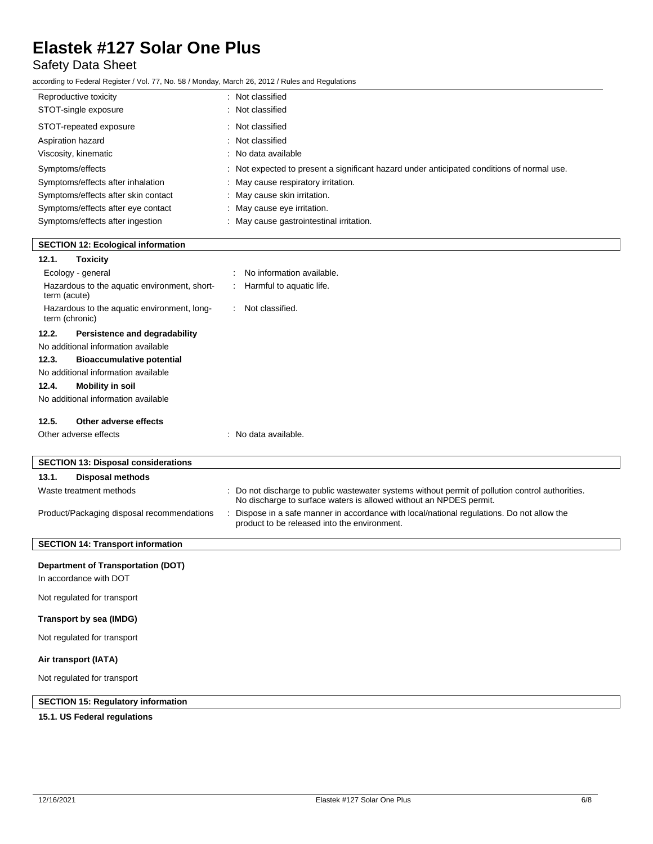# Safety Data Sheet

according to Federal Register / Vol. 77, No. 58 / Monday, March 26, 2012 / Rules and Regulations

| Reproductive toxicity               | : Not classified                                                                           |
|-------------------------------------|--------------------------------------------------------------------------------------------|
| STOT-single exposure                | : Not classified                                                                           |
| STOT-repeated exposure              | : Not classified                                                                           |
| Aspiration hazard                   | : Not classified                                                                           |
| Viscosity, kinematic                | : No data available                                                                        |
| Symptoms/effects                    | : Not expected to present a significant hazard under anticipated conditions of normal use. |
| Symptoms/effects after inhalation   | : May cause respiratory irritation.                                                        |
| Symptoms/effects after skin contact | : May cause skin irritation.                                                               |
| Symptoms/effects after eye contact  | : May cause eye irritation.                                                                |
| Symptoms/effects after ingestion    | May cause gastrointestinal irritation.                                                     |

| <b>SECTION 12: Ecological information</b>                     |                                                                                                                                                                        |
|---------------------------------------------------------------|------------------------------------------------------------------------------------------------------------------------------------------------------------------------|
| 12.1.<br><b>Toxicity</b>                                      |                                                                                                                                                                        |
| Ecology - general                                             | No information available.                                                                                                                                              |
| Hazardous to the aquatic environment, short-<br>term (acute)  | Harmful to aquatic life.                                                                                                                                               |
| Hazardous to the aquatic environment, long-<br>term (chronic) | Not classified.<br>$\mathbb{R}^{\mathbb{Z}}$                                                                                                                           |
| 12.2.<br>Persistence and degradability                        |                                                                                                                                                                        |
| No additional information available                           |                                                                                                                                                                        |
| 12.3.<br><b>Bioaccumulative potential</b>                     |                                                                                                                                                                        |
| No additional information available                           |                                                                                                                                                                        |
| 12.4.<br><b>Mobility in soil</b>                              |                                                                                                                                                                        |
| No additional information available                           |                                                                                                                                                                        |
| 12.5.<br>Other adverse effects                                |                                                                                                                                                                        |
| Other adverse effects                                         | : No data available.                                                                                                                                                   |
| <b>SECTION 13: Disposal considerations</b>                    |                                                                                                                                                                        |
|                                                               |                                                                                                                                                                        |
| 13.1.<br><b>Disposal methods</b>                              |                                                                                                                                                                        |
| Waste treatment methods                                       | : Do not discharge to public wastewater systems without permit of pollution control authorities.<br>No discharge to surface waters is allowed without an NPDES permit. |
| Product/Packaging disposal recommendations                    | Dispose in a safe manner in accordance with local/national regulations. Do not allow the<br>product to be released into the environment.                               |
| <b>SECTION 14: Transport information</b>                      |                                                                                                                                                                        |
| <b>Department of Transportation (DOT)</b>                     |                                                                                                                                                                        |
| In accordance with DOT                                        |                                                                                                                                                                        |
| Not regulated for transport                                   |                                                                                                                                                                        |
| Transport by sea (IMDG)                                       |                                                                                                                                                                        |
| Not regulated for transport                                   |                                                                                                                                                                        |
| Air transport (IATA)                                          |                                                                                                                                                                        |
| Not regulated for transport                                   |                                                                                                                                                                        |

# **SECTION 15: Regulatory information**

# **15.1. US Federal regulations**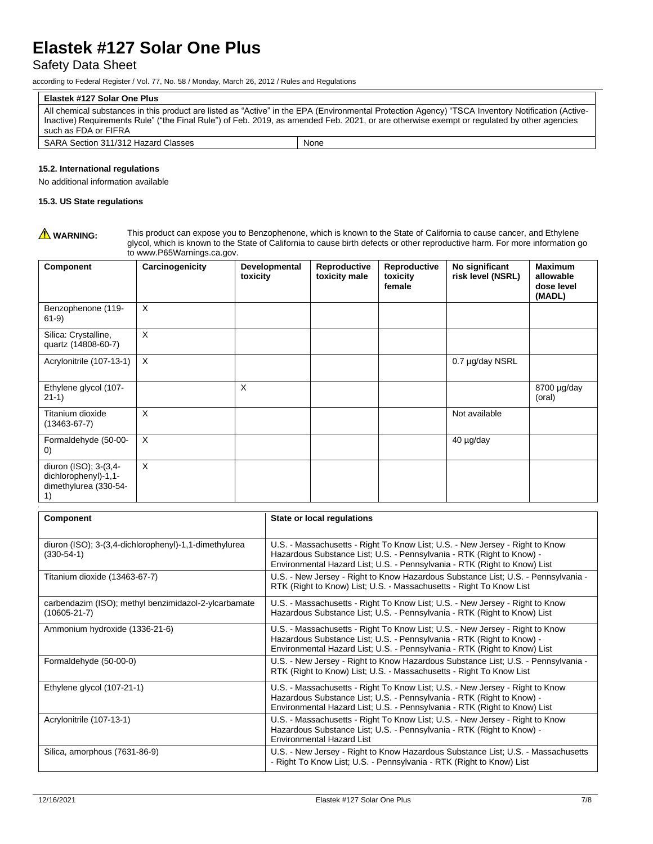# Safety Data Sheet

according to Federal Register / Vol. 77, No. 58 / Monday, March 26, 2012 / Rules and Regulations

### **Elastek #127 Solar One Plus**

All chemical substances in this product are listed as "Active" in the EPA (Environmental Protection Agency) "TSCA Inventory Notification (Active-Inactive) Requirements Rule" ("the Final Rule") of Feb. 2019, as amended Feb. 2021, or are otherwise exempt or regulated by other agencies such as FDA or FIFRA

| SARA Section 31<br><sup>1</sup> Classes<br>i 311/312 <sup>'</sup><br>Hazard | None |
|-----------------------------------------------------------------------------|------|
|                                                                             |      |

### **15.2. International regulations**

No additional information available

### **15.3. US State regulations**

WARNING: This product can expose you to Benzophenone, which is known to the State of California to cause cancer, and Ethylene glycol, which is known to the State of California to cause birth defects or other reproductive harm. For more information go to www.P65Warnings.ca.gov.

| Component                                                                    | Carcinogenicity | Developmental<br>toxicity | Reproductive<br>toxicity male | Reproductive<br>toxicity<br>female | No significant<br>risk level (NSRL) | <b>Maximum</b><br>allowable<br>dose level<br>(MADL) |
|------------------------------------------------------------------------------|-----------------|---------------------------|-------------------------------|------------------------------------|-------------------------------------|-----------------------------------------------------|
| Benzophenone (119-<br>$61-9)$                                                | X               |                           |                               |                                    |                                     |                                                     |
| Silica: Crystalline,<br>quartz (14808-60-7)                                  | X               |                           |                               |                                    |                                     |                                                     |
| Acrylonitrile (107-13-1)                                                     | X               |                           |                               |                                    | 0.7 µg/day NSRL                     |                                                     |
| Ethylene glycol (107-<br>$21-1)$                                             |                 | X                         |                               |                                    |                                     | 8700 µg/day<br>(oral)                               |
| Titanium dioxide<br>$(13463 - 67 - 7)$                                       | X               |                           |                               |                                    | Not available                       |                                                     |
| Formaldehyde (50-00-<br>$\left( 0\right)$                                    | X               |                           |                               |                                    | 40 µg/day                           |                                                     |
| diuron (ISO); 3-(3,4-<br>dichlorophenyl)-1,1-<br>dimethylurea (330-54-<br>1) | X               |                           |                               |                                    |                                     |                                                     |

| <b>Component</b>                                                           | State or local regulations                                                                                                                                                                                                         |
|----------------------------------------------------------------------------|------------------------------------------------------------------------------------------------------------------------------------------------------------------------------------------------------------------------------------|
| diuron (ISO); 3-(3,4-dichlorophenyl)-1,1-dimethylurea<br>$(330-54-1)$      | U.S. - Massachusetts - Right To Know List; U.S. - New Jersey - Right to Know<br>Hazardous Substance List; U.S. - Pennsylvania - RTK (Right to Know) -<br>Environmental Hazard List; U.S. - Pennsylvania - RTK (Right to Know) List |
| Titanium dioxide (13463-67-7)                                              | U.S. - New Jersey - Right to Know Hazardous Substance List; U.S. - Pennsylvania -<br>RTK (Right to Know) List; U.S. - Massachusetts - Right To Know List                                                                           |
| carbendazim (ISO); methyl benzimidazol-2-ylcarbamate<br>$(10605 - 21 - 7)$ | U.S. - Massachusetts - Right To Know List; U.S. - New Jersey - Right to Know<br>Hazardous Substance List; U.S. - Pennsylvania - RTK (Right to Know) List                                                                           |
| Ammonium hydroxide (1336-21-6)                                             | U.S. - Massachusetts - Right To Know List; U.S. - New Jersey - Right to Know<br>Hazardous Substance List; U.S. - Pennsylvania - RTK (Right to Know) -<br>Environmental Hazard List; U.S. - Pennsylvania - RTK (Right to Know) List |
| Formaldehyde (50-00-0)                                                     | U.S. - New Jersey - Right to Know Hazardous Substance List; U.S. - Pennsylvania -<br>RTK (Right to Know) List; U.S. - Massachusetts - Right To Know List                                                                           |
| Ethylene glycol (107-21-1)                                                 | U.S. - Massachusetts - Right To Know List; U.S. - New Jersey - Right to Know<br>Hazardous Substance List; U.S. - Pennsylvania - RTK (Right to Know) -<br>Environmental Hazard List; U.S. - Pennsylvania - RTK (Right to Know) List |
| Acrylonitrile (107-13-1)                                                   | U.S. - Massachusetts - Right To Know List; U.S. - New Jersey - Right to Know<br>Hazardous Substance List; U.S. - Pennsylvania - RTK (Right to Know) -<br><b>Environmental Hazard List</b>                                          |
| Silica, amorphous (7631-86-9)                                              | U.S. - New Jersey - Right to Know Hazardous Substance List; U.S. - Massachusetts<br>- Right To Know List; U.S. - Pennsylvania - RTK (Right to Know) List                                                                           |